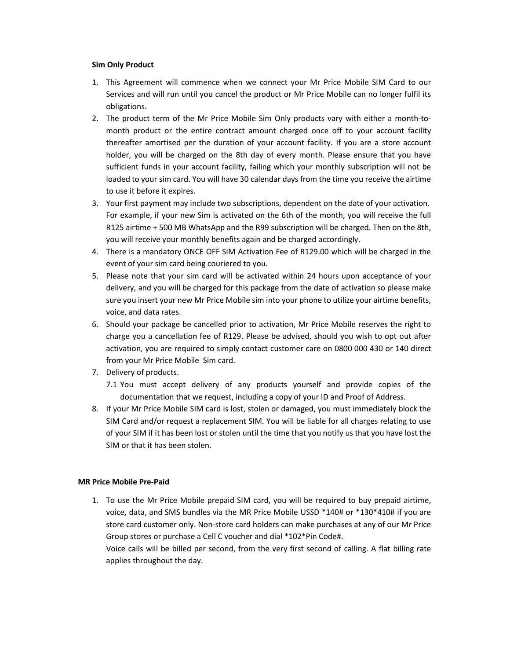## Sim Only Product

- 1. This Agreement will commence when we connect your Mr Price Mobile SIM Card to our Services and will run until you cancel the product or Mr Price Mobile can no longer fulfil its obligations.
- 2. The product term of the Mr Price Mobile Sim Only products vary with either a month-tomonth product or the entire contract amount charged once off to your account facility thereafter amortised per the duration of your account facility. If you are a store account holder, you will be charged on the 8th day of every month. Please ensure that you have sufficient funds in your account facility, failing which your monthly subscription will not be loaded to your sim card. You will have 30 calendar days from the time you receive the airtime to use it before it expires.
- 3. Your first payment may include two subscriptions, dependent on the date of your activation. For example, if your new Sim is activated on the 6th of the month, you will receive the full R125 airtime + 500 MB WhatsApp and the R99 subscription will be charged. Then on the 8th, you will receive your monthly benefits again and be charged accordingly.
- 4. There is a mandatory ONCE OFF SIM Activation Fee of R129.00 which will be charged in the event of your sim card being couriered to you.
- 5. Please note that your sim card will be activated within 24 hours upon acceptance of your delivery, and you will be charged for this package from the date of activation so please make sure you insert your new Mr Price Mobile sim into your phone to utilize your airtime benefits, voice, and data rates.
- 6. Should your package be cancelled prior to activation, Mr Price Mobile reserves the right to charge you a cancellation fee of R129. Please be advised, should you wish to opt out after activation, you are required to simply contact customer care on 0800 000 430 or 140 direct from your Mr Price Mobile Sim card.
- 7. Delivery of products.
	- 7.1 You must accept delivery of any products yourself and provide copies of the documentation that we request, including a copy of your ID and Proof of Address.
- 8. If your Mr Price Mobile SIM card is lost, stolen or damaged, you must immediately block the SIM Card and/or request a replacement SIM. You will be liable for all charges relating to use of your SIM if it has been lost or stolen until the time that you notify us that you have lost the SIM or that it has been stolen.

## MR Price Mobile Pre-Paid

1. To use the Mr Price Mobile prepaid SIM card, you will be required to buy prepaid airtime, voice, data, and SMS bundles via the MR Price Mobile USSD \*140# or \*130\*410# if you are store card customer only. Non-store card holders can make purchases at any of our Mr Price Group stores or purchase a Cell C voucher and dial \*102\*Pin Code#.

Voice calls will be billed per second, from the very first second of calling. A flat billing rate applies throughout the day.